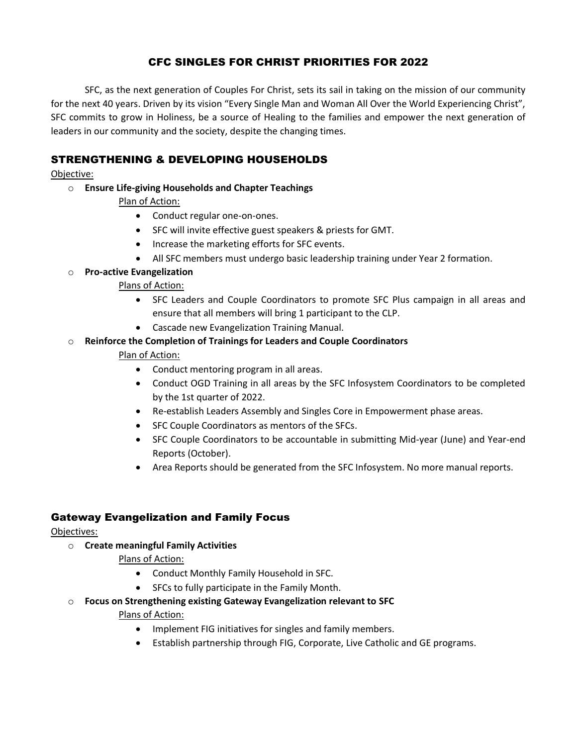## CFC SINGLES FOR CHRIST PRIORITIES FOR 2022

SFC, as the next generation of Couples For Christ, sets its sail in taking on the mission of our community for the next 40 years. Driven by its vision "Every Single Man and Woman All Over the World Experiencing Christ", SFC commits to grow in Holiness, be a source of Healing to the families and empower the next generation of leaders in our community and the society, despite the changing times.

## STRENGTHENING & DEVELOPING HOUSEHOLDS

#### Objective:

o **Ensure Life-giving Households and Chapter Teachings**

## Plan of Action:

- Conduct regular one-on-ones.
- SFC will invite effective guest speakers & priests for GMT.
- Increase the marketing efforts for SFC events.
- All SFC members must undergo basic leadership training under Year 2 formation.

#### o **Pro-active Evangelization**

#### Plans of Action:

- SFC Leaders and Couple Coordinators to promote SFC Plus campaign in all areas and ensure that all members will bring 1 participant to the CLP.
- Cascade new Evangelization Training Manual.

## o **Reinforce the Completion of Trainings for Leaders and Couple Coordinators**

## Plan of Action:

- Conduct mentoring program in all areas.
- Conduct OGD Training in all areas by the SFC Infosystem Coordinators to be completed by the 1st quarter of 2022.
- Re-establish Leaders Assembly and Singles Core in Empowerment phase areas.
- SFC Couple Coordinators as mentors of the SFCs.
- SFC Couple Coordinators to be accountable in submitting Mid-year (June) and Year-end Reports (October).
- Area Reports should be generated from the SFC Infosystem. No more manual reports.

## Gateway Evangelization and Family Focus

#### Objectives:

o **Create meaningful Family Activities**

#### Plans of Action:

- Conduct Monthly Family Household in SFC.
- SFCs to fully participate in the Family Month.
- o **Focus on Strengthening existing Gateway Evangelization relevant to SFC** Plans of Action:
	- Implement FIG initiatives for singles and family members.
	- Establish partnership through FIG, Corporate, Live Catholic and GE programs.